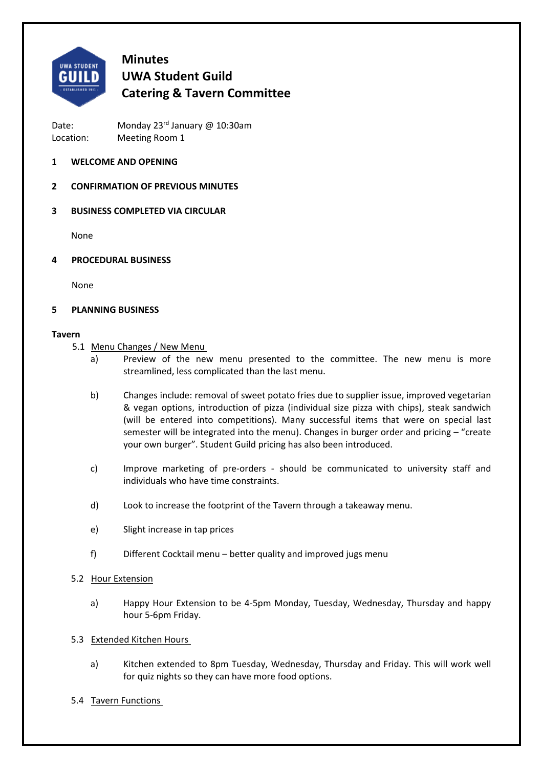

# **Minutes UWA Student Guild Catering & Tavern Committee**

Date: Monday 23<sup>rd</sup> January @ 10:30am Location: Meeting Room 1

## **1 WELCOME AND OPENING**

## **2 CONFIRMATION OF PREVIOUS MINUTES**

## **3 BUSINESS COMPLETED VIA CIRCULAR**

None

**4 PROCEDURAL BUSINESS** 

None

#### **5 PLANNING BUSINESS**

#### **Tavern**

- 5.1 Menu Changes / New Menu
	- a) Preview of the new menu presented to the committee. The new menu is more streamlined, less complicated than the last menu.
	- b) Changes include: removal of sweet potato fries due to supplier issue, improved vegetarian & vegan options, introduction of pizza (individual size pizza with chips), steak sandwich (will be entered into competitions). Many successful items that were on special last semester will be integrated into the menu). Changes in burger order and pricing – "create your own burger". Student Guild pricing has also been introduced.
	- c) Improve marketing of pre-orders should be communicated to university staff and individuals who have time constraints.
	- d) Look to increase the footprint of the Tavern through a takeaway menu.
	- e) Slight increase in tap prices
	- f) Different Cocktail menu better quality and improved jugs menu
- 5.2 Hour Extension
	- a) Happy Hour Extension to be 4‐5pm Monday, Tuesday, Wednesday, Thursday and happy hour 5‐6pm Friday.
- 5.3 Extended Kitchen Hours
	- a) Kitchen extended to 8pm Tuesday, Wednesday, Thursday and Friday. This will work well for quiz nights so they can have more food options.
- 5.4 Tavern Functions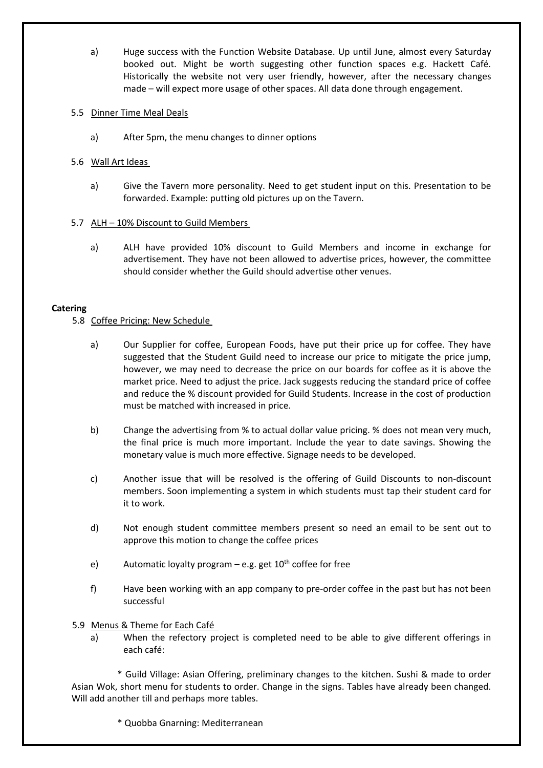a) Huge success with the Function Website Database. Up until June, almost every Saturday booked out. Might be worth suggesting other function spaces e.g. Hackett Café. Historically the website not very user friendly, however, after the necessary changes made – will expect more usage of other spaces. All data done through engagement.

### 5.5 Dinner Time Meal Deals

a) After 5pm, the menu changes to dinner options

## 5.6 Wall Art Ideas

a) Give the Tavern more personality. Need to get student input on this. Presentation to be forwarded. Example: putting old pictures up on the Tavern.

## 5.7 ALH – 10% Discount to Guild Members

a) ALH have provided 10% discount to Guild Members and income in exchange for advertisement. They have not been allowed to advertise prices, however, the committee should consider whether the Guild should advertise other venues.

#### **Catering**

## 5.8 Coffee Pricing: New Schedule

- a) Our Supplier for coffee, European Foods, have put their price up for coffee. They have suggested that the Student Guild need to increase our price to mitigate the price jump, however, we may need to decrease the price on our boards for coffee as it is above the market price. Need to adjust the price. Jack suggests reducing the standard price of coffee and reduce the % discount provided for Guild Students. Increase in the cost of production must be matched with increased in price.
- b) Change the advertising from % to actual dollar value pricing. % does not mean very much, the final price is much more important. Include the year to date savings. Showing the monetary value is much more effective. Signage needs to be developed.
- c) Another issue that will be resolved is the offering of Guild Discounts to non-discount members. Soon implementing a system in which students must tap their student card for it to work.
- d) Not enough student committee members present so need an email to be sent out to approve this motion to change the coffee prices
- e) Automatic loyalty program e.g. get  $10^{th}$  coffee for free
- f) Have been working with an app company to pre‐order coffee in the past but has not been successful
- 5.9 Menus & Theme for Each Café
	- a) When the refectory project is completed need to be able to give different offerings in each café:

 \* Guild Village: Asian Offering, preliminary changes to the kitchen. Sushi & made to order Asian Wok, short menu for students to order. Change in the signs. Tables have already been changed. Will add another till and perhaps more tables.

\* Quobba Gnarning: Mediterranean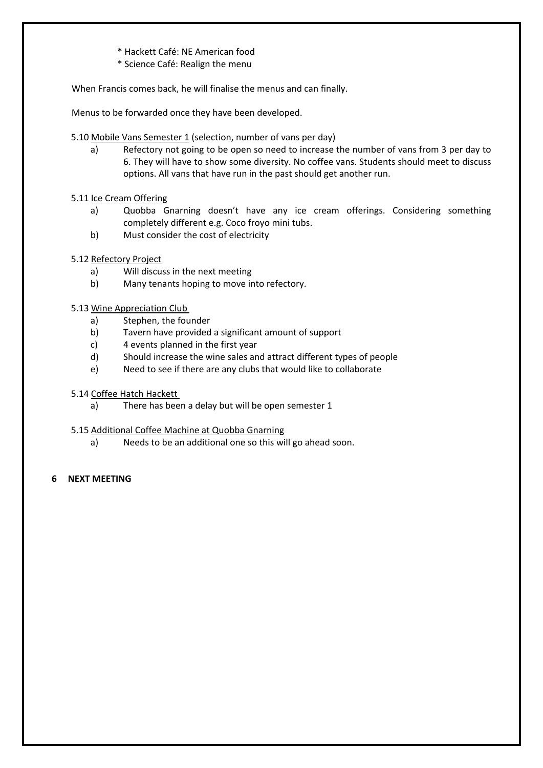- \* Hackett Café: NE American food
- \* Science Café: Realign the menu

When Francis comes back, he will finalise the menus and can finally.

Menus to be forwarded once they have been developed.

- 5.10 Mobile Vans Semester 1 (selection, number of vans per day)
	- a) Refectory not going to be open so need to increase the number of vans from 3 per day to 6. They will have to show some diversity. No coffee vans. Students should meet to discuss options. All vans that have run in the past should get another run.

## 5.11 Ice Cream Offering

- a) Quobba Gnarning doesn't have any ice cream offerings. Considering something completely different e.g. Coco froyo mini tubs.
- b) Must consider the cost of electricity
- 5.12 Refectory Project
	- a) Will discuss in the next meeting
	- b) Many tenants hoping to move into refectory.

## 5.13 Wine Appreciation Club

- a) Stephen, the founder
- b) Tavern have provided a significant amount of support
- c) 4 events planned in the first year
- d) Should increase the wine sales and attract different types of people
- e) Need to see if there are any clubs that would like to collaborate
- 5.14 Coffee Hatch Hackett
	- a) There has been a delay but will be open semester 1
- 5.15 Additional Coffee Machine at Quobba Gnarning
	- a) Needs to be an additional one so this will go ahead soon.

#### **6 NEXT MEETING**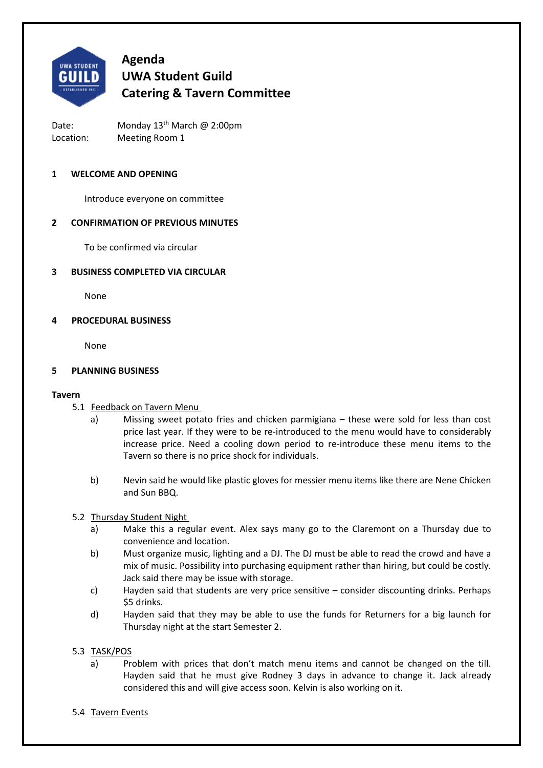

Date: Monday 13<sup>th</sup> March @ 2:00pm Location: Meeting Room 1

#### **1 WELCOME AND OPENING**

 Introduce everyone on committee

## **2 CONFIRMATION OF PREVIOUS MINUTES**

To be confirmed via circular

#### **3 BUSINESS COMPLETED VIA CIRCULAR**

None

#### **4 PROCEDURAL BUSINESS**

None

#### **5 PLANNING BUSINESS**

#### **Tavern**

- 5.1 Feedback on Tavern Menu
	- a) Missing sweet potato fries and chicken parmigiana these were sold for less than cost price last year. If they were to be re‐introduced to the menu would have to considerably increase price. Need a cooling down period to re-introduce these menu items to the Tavern so there is no price shock for individuals.
	- b) Nevin said he would like plastic gloves for messier menu items like there are Nene Chicken and Sun BBQ.

#### 5.2 Thursday Student Night

- a) Make this a regular event. Alex says many go to the Claremont on a Thursday due to convenience and location.
- b) Must organize music, lighting and a DJ. The DJ must be able to read the crowd and have a mix of music. Possibility into purchasing equipment rather than hiring, but could be costly. Jack said there may be issue with storage.
- c) Hayden said that students are very price sensitive consider discounting drinks. Perhaps \$5 drinks.
- d) Hayden said that they may be able to use the funds for Returners for a big launch for Thursday night at the start Semester 2.

#### 5.3 TASK/POS

- a) Problem with prices that don't match menu items and cannot be changed on the till. Hayden said that he must give Rodney 3 days in advance to change it. Jack already considered this and will give access soon. Kelvin is also working on it.
- 5.4 Tavern Events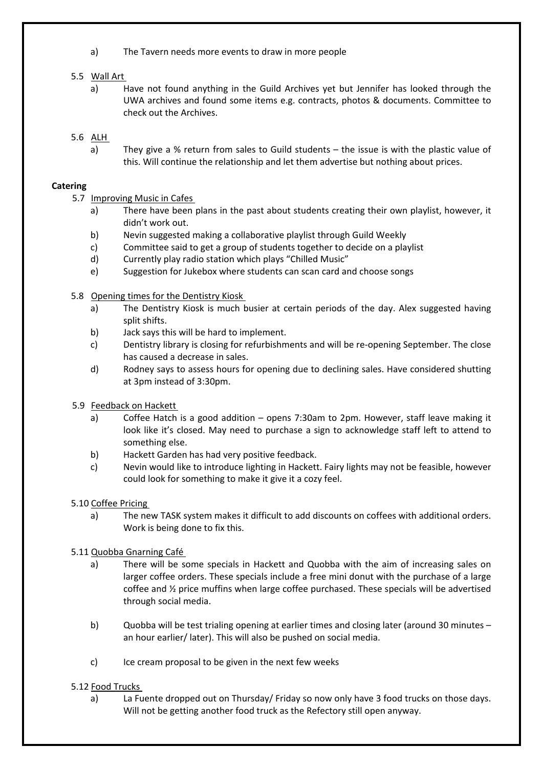a) The Tavern needs more events to draw in more people

# 5.5 Wall Art

a) Have not found anything in the Guild Archives yet but Jennifer has looked through the UWA archives and found some items e.g. contracts, photos & documents. Committee to check out the Archives.

# 5.6 ALH

a) They give a % return from sales to Guild students – the issue is with the plastic value of this. Will continue the relationship and let them advertise but nothing about prices.

# **Catering**

- 5.7 Improving Music in Cafes
	- a) There have been plans in the past about students creating their own playlist, however, it didn't work out.
	- b) Nevin suggested making a collaborative playlist through Guild Weekly
	- c) Committee said to get a group of students together to decide on a playlist
	- d) Currently play radio station which plays "Chilled Music"
	- e) Suggestion for Jukebox where students can scan card and choose songs
- 5.8 Opening times for the Dentistry Kiosk
	- a) The Dentistry Kiosk is much busier at certain periods of the day. Alex suggested having split shifts.
	- b) Jack says this will be hard to implement.
	- c) Dentistry library is closing for refurbishments and will be re‐opening September. The close has caused a decrease in sales.
	- d) Rodney says to assess hours for opening due to declining sales. Have considered shutting at 3pm instead of 3:30pm.
- 5.9 Feedback on Hackett
	- a) Coffee Hatch is a good addition opens 7:30am to 2pm. However, staff leave making it look like it's closed. May need to purchase a sign to acknowledge staff left to attend to something else.
	- b) Hackett Garden has had very positive feedback.
	- c) Nevin would like to introduce lighting in Hackett. Fairy lights may not be feasible, however could look for something to make it give it a cozy feel.

# 5.10 Coffee Pricing

a) The new TASK system makes it difficult to add discounts on coffees with additional orders. Work is being done to fix this.

# 5.11 Quobba Gnarning Café

- a) There will be some specials in Hackett and Quobba with the aim of increasing sales on larger coffee orders. These specials include a free mini donut with the purchase of a large coffee and ½ price muffins when large coffee purchased. These specials will be advertised through social media.
- b) Quobba will be test trialing opening at earlier times and closing later (around 30 minutes an hour earlier/ later). This will also be pushed on social media.
- c) Ice cream proposal to be given in the next few weeks

# 5.12 Food Trucks

a) La Fuente dropped out on Thursday/ Friday so now only have 3 food trucks on those days. Will not be getting another food truck as the Refectory still open anyway.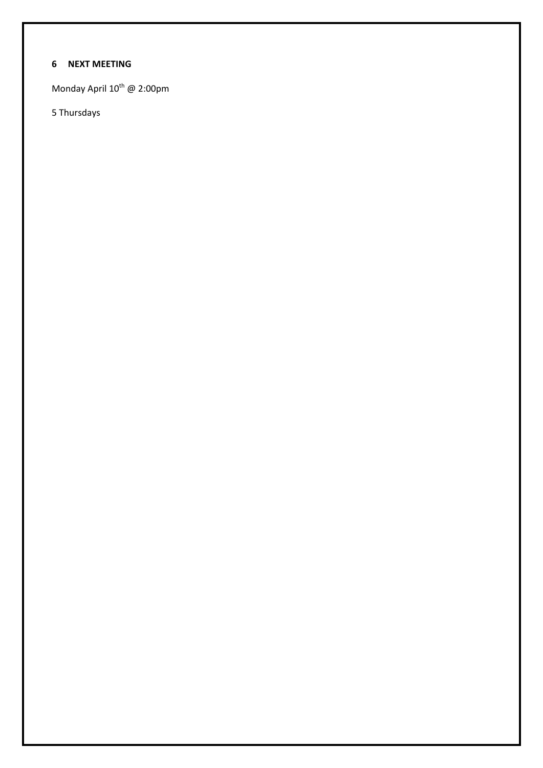# **6 NEXT MEETING**

Monday April 10<sup>th</sup> @ 2:00pm

5 Thursdays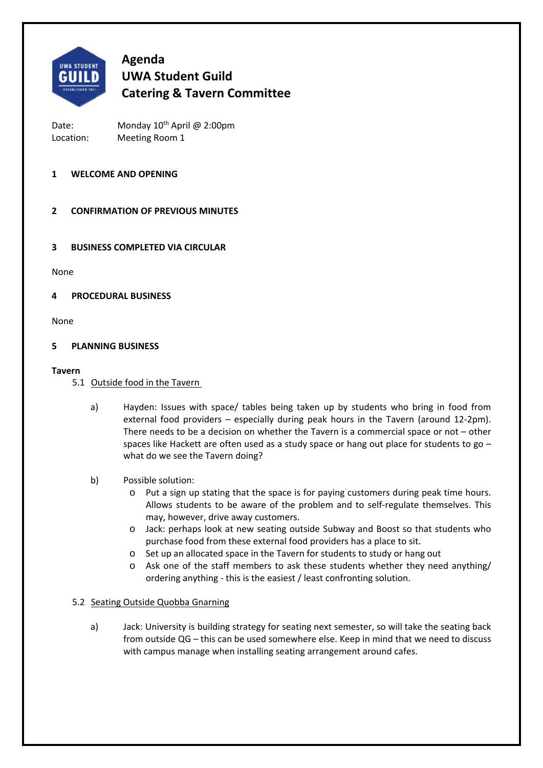

Date: Monday 10<sup>th</sup> April @ 2:00pm Location: Meeting Room 1

## **1 WELCOME AND OPENING**

# **2 CONFIRMATION OF PREVIOUS MINUTES**

## **3 BUSINESS COMPLETED VIA CIRCULAR**

None

#### **4 PROCEDURAL BUSINESS**

None

#### **5 PLANNING BUSINESS**

#### **Tavern**

- 5.1 Outside food in the Tavern
	- a) Hayden: Issues with space/ tables being taken up by students who bring in food from external food providers – especially during peak hours in the Tavern (around 12-2pm). There needs to be a decision on whether the Tavern is a commercial space or not – other spaces like Hackett are often used as a study space or hang out place for students to go what do we see the Tavern doing?
	- b) Possible solution:
		- o Put a sign up stating that the space is for paying customers during peak time hours. Allows students to be aware of the problem and to self-regulate themselves. This may, however, drive away customers.
		- o Jack: perhaps look at new seating outside Subway and Boost so that students who purchase food from these external food providers has a place to sit.
		- o Set up an allocated space in the Tavern for students to study or hang out
		- o Ask one of the staff members to ask these students whether they need anything/ ordering anything ‐ this is the easiest / least confronting solution.

#### 5.2 Seating Outside Quobba Gnarning

a) Jack: University is building strategy for seating next semester, so will take the seating back from outside QG – this can be used somewhere else. Keep in mind that we need to discuss with campus manage when installing seating arrangement around cafes.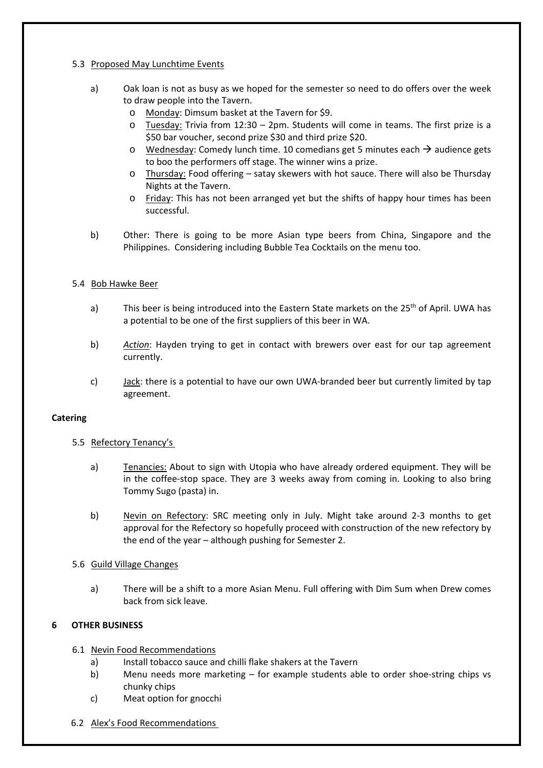### 5.3 Proposed May Lunchtime Events

- a) Oak loan is not as busy as we hoped for the semester so need to do offers over the week to draw people into the Tavern.
	- o Monday: Dimsum basket at the Tavern for \$9.
	- $\circ$  Tuesday: Trivia from 12:30 2pm. Students will come in teams. The first prize is a \$50 bar voucher, second prize \$30 and third prize \$20.
	- $\circ$  Wednesday: Comedy lunch time. 10 comedians get 5 minutes each  $\rightarrow$  audience gets to boo the performers off stage. The winner wins a prize.
	- o Thursday: Food offering satay skewers with hot sauce. There will also be Thursday Nights at the Tavern.
	- o Friday: This has not been arranged yet but the shifts of happy hour times has been successful.
- b) Other: There is going to be more Asian type beers from China, Singapore and the Philippines. Considering including Bubble Tea Cocktails on the menu too.

## 5.4 Bob Hawke Beer

- a) This beer is being introduced into the Eastern State markets on the 25<sup>th</sup> of April. UWA has a potential to be one of the first suppliers of this beer in WA.
- b) *Action*: Hayden trying to get in contact with brewers over east for our tap agreement currently.
- c) Jack: there is a potential to have our own UWA‐branded beer but currently limited by tap agreement.

#### **Catering**

- 5.5 Refectory Tenancy's
	- a) Tenancies: About to sign with Utopia who have already ordered equipment. They will be in the coffee-stop space. They are 3 weeks away from coming in. Looking to also bring Tommy Sugo (pasta) in.
	- b) Nevin on Refectory: SRC meeting only in July. Might take around 2-3 months to get approval for the Refectory so hopefully proceed with construction of the new refectory by the end of the year – although pushing for Semester 2.

# 5.6 Guild Village Changes

a) There will be a shift to a more Asian Menu. Full offering with Dim Sum when Drew comes back from sick leave.

# **6 OTHER BUSINESS**

- 6.1 Nevin Food Recommendations
	- a) Install tobacco sauce and chilli flake shakers at the Tavern
	- b) Menu needs more marketing for example students able to order shoe-string chips vs chunky chips
	- c) Meat option for gnocchi
- 6.2 Alex's Food Recommendations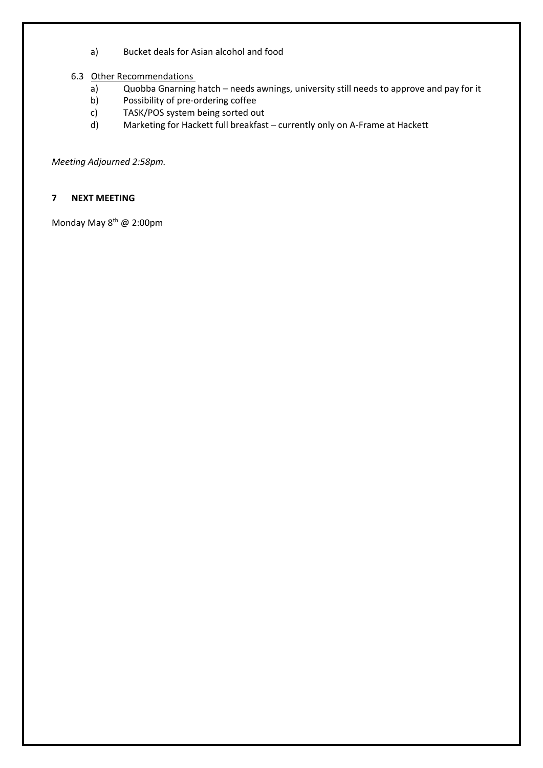- a) Bucket deals for Asian alcohol and food
- 6.3 Other Recommendations
	- a) Quobba Gnarning hatch needs awnings, university still needs to approve and pay for it
	- b) Possibility of pre‐ordering coffee
	- c) TASK/POS system being sorted out
	- d) Marketing for Hackett full breakfast currently only on A‐Frame at Hackett

*Meeting Adjourned 2:58pm.* 

# **7 NEXT MEETING**

Monday May 8<sup>th</sup> @ 2:00pm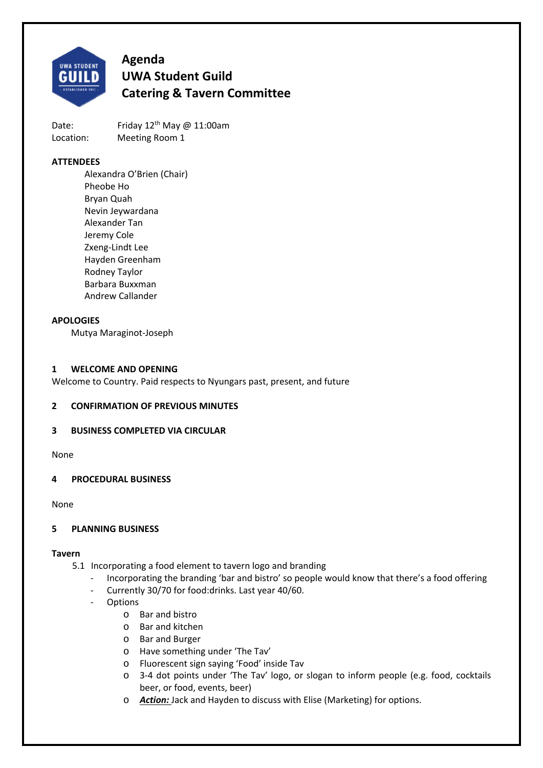

Date: Friday  $12^{th}$  May @ 11:00am Location: Meeting Room 1

## **ATTENDEES**

Alexandra O'Brien (Chair) Pheobe Ho Bryan Quah Nevin Jeywardana Alexander Tan Jeremy Cole Zxeng‐Lindt Lee Hayden Greenham Rodney Taylor Barbara Buxxman Andrew Callander

#### **APOLOGIES**

Mutya Maraginot‐Joseph

#### **1 WELCOME AND OPENING**

Welcome to Country. Paid respects to Nyungars past, present, and future

#### **2 CONFIRMATION OF PREVIOUS MINUTES**

#### **3 BUSINESS COMPLETED VIA CIRCULAR**

None

#### **4 PROCEDURAL BUSINESS**

None

#### **5 PLANNING BUSINESS**

#### **Tavern**

- 5.1 Incorporating a food element to tavern logo and branding
	- ‐ Incorporating the branding 'bar and bistro' so people would know that there's a food offering
	- ‐ Currently 30/70 for food:drinks. Last year 40/60.
	- **Options** 
		- o Bar and bistro
		- o Bar and kitchen
		- o Bar and Burger
		- o Have something under 'The Tav'
		- o Fluorescent sign saying 'Food' inside Tav
		- o 3‐4 dot points under 'The Tav' logo, or slogan to inform people (e.g. food, cocktails beer, or food, events, beer)
		- o *Action:* Jack and Hayden to discuss with Elise (Marketing) for options.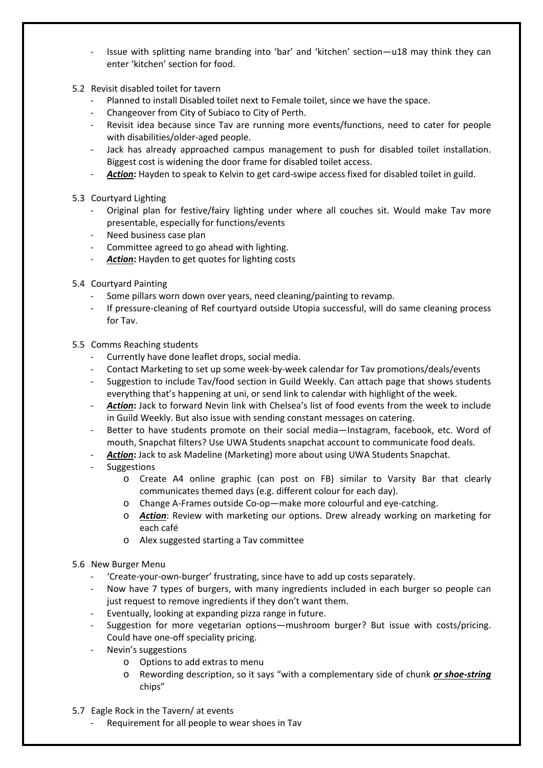- ‐ Issue with splitting name branding into 'bar' and 'kitchen' section—u18 may think they can enter 'kitchen' section for food.
- 5.2 Revisit disabled toilet for tavern
	- ‐ Planned to install Disabled toilet next to Female toilet, since we have the space.
	- ‐ Changeover from City of Subiaco to City of Perth.
	- Revisit idea because since Tav are running more events/functions, need to cater for people with disabilities/older‐aged people.
	- Jack has already approached campus management to push for disabled toilet installation. Biggest cost is widening the door frame for disabled toilet access.
	- Action: Hayden to speak to Kelvin to get card-swipe access fixed for disabled toilet in guild.
- 5.3 Courtyard Lighting
	- Original plan for festive/fairy lighting under where all couches sit. Would make Tav more presentable, especially for functions/events
	- ‐ Need business case plan
	- ‐ Committee agreed to go ahead with lighting.
	- Action: Hayden to get quotes for lighting costs
- 5.4 Courtyard Painting
	- Some pillars worn down over years, need cleaning/painting to revamp.
	- ‐ If pressure‐cleaning of Ref courtyard outside Utopia successful, will do same cleaning process for Tav.
- 5.5 Comms Reaching students
	- ‐ Currently have done leaflet drops, social media.
	- ‐ Contact Marketing to set up some week‐by‐week calendar for Tav promotions/deals/events
	- ‐ Suggestion to include Tav/food section in Guild Weekly. Can attach page that shows students everything that's happening at uni, or send link to calendar with highlight of the week.
	- ‐ *Action***:** Jack to forward Nevin link with Chelsea's list of food events from the week to include in Guild Weekly. But also issue with sending constant messages on catering.
	- Better to have students promote on their social media—Instagram, facebook, etc. Word of mouth, Snapchat filters? Use UWA Students snapchat account to communicate food deals.
	- ‐ *Action***:** Jack to ask Madeline (Marketing) more about using UWA Students Snapchat.
	- **Suggestions** 
		- o Create A4 online graphic (can post on FB) similar to Varsity Bar that clearly communicates themed days (e.g. different colour for each day).
		- o Change A‐Frames outside Co‐op—make more colourful and eye‐catching.
		- o *Action*: Review with marketing our options. Drew already working on marketing for each café
		- o Alex suggested starting a Tav committee
- 5.6 New Burger Menu
	- ‐ 'Create‐your‐own‐burger' frustrating, since have to add up costs separately.
	- Now have 7 types of burgers, with many ingredients included in each burger so people can just request to remove ingredients if they don't want them.
	- ‐ Eventually, looking at expanding pizza range in future.
	- Suggestion for more vegetarian options—mushroom burger? But issue with costs/pricing. Could have one‐off speciality pricing.
	- ‐ Nevin's suggestions
		- o Options to add extras to menu
		- o Rewording description, so it says "with a complementary side of chunk *or shoe‐string* chips"
- 5.7 Eagle Rock in the Tavern/ at events
	- ‐ Requirement for all people to wear shoes in Tav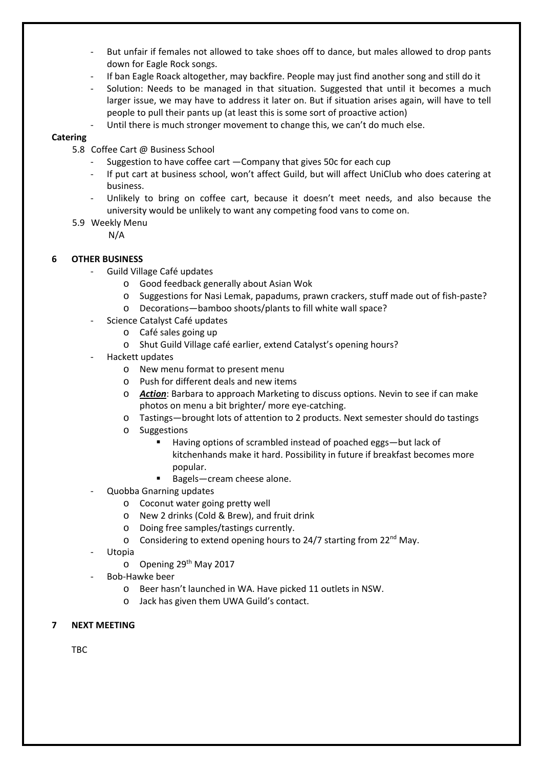- But unfair if females not allowed to take shoes off to dance, but males allowed to drop pants down for Eagle Rock songs.
- ‐ If ban Eagle Roack altogether, may backfire. People may just find another song and still do it
- Solution: Needs to be managed in that situation. Suggested that until it becomes a much larger issue, we may have to address it later on. But if situation arises again, will have to tell people to pull their pants up (at least this is some sort of proactive action)
- Until there is much stronger movement to change this, we can't do much else.

### **Catering**

- 5.8 Coffee Cart @ Business School
	- Suggestion to have coffee cart Company that gives 50c for each cup
	- If put cart at business school, won't affect Guild, but will affect UniClub who does catering at business.
	- Unlikely to bring on coffee cart, because it doesn't meet needs, and also because the university would be unlikely to want any competing food vans to come on.
- 5.9 Weekly Menu
	- N/A

# **6 OTHER BUSINESS**

- ‐ Guild Village Café updates
	- o Good feedback generally about Asian Wok
	- o Suggestions for Nasi Lemak, papadums, prawn crackers, stuff made out of fish‐paste?
	- o Decorations—bamboo shoots/plants to fill white wall space?
- Science Catalyst Café updates
	- o Café sales going up
	- o Shut Guild Village café earlier, extend Catalyst's opening hours?
- ‐ Hackett updates
	- o New menu format to present menu
	- o Push for different deals and new items
	- o *Action*: Barbara to approach Marketing to discuss options. Nevin to see if can make photos on menu a bit brighter/ more eye‐catching.
	- o Tastings—brought lots of attention to 2 products. Next semester should do tastings
	- o Suggestions
		- Having options of scrambled instead of poached eggs—but lack of kitchenhands make it hard. Possibility in future if breakfast becomes more popular.
		- Bagels—cream cheese alone.
- ‐ Quobba Gnarning updates
	- o Coconut water going pretty well
	- o New 2 drinks (Cold & Brew), and fruit drink
	- o Doing free samples/tastings currently.
	- $\circ$  Considering to extend opening hours to 24/7 starting from 22<sup>nd</sup> May.
- **Utopia** 
	- $\circ$  Opening 29<sup>th</sup> May 2017
- ‐ Bob‐Hawke beer
	- o Beer hasn't launched in WA. Have picked 11 outlets in NSW.
	- o Jack has given them UWA Guild's contact.

## **7 NEXT MEETING**

TBC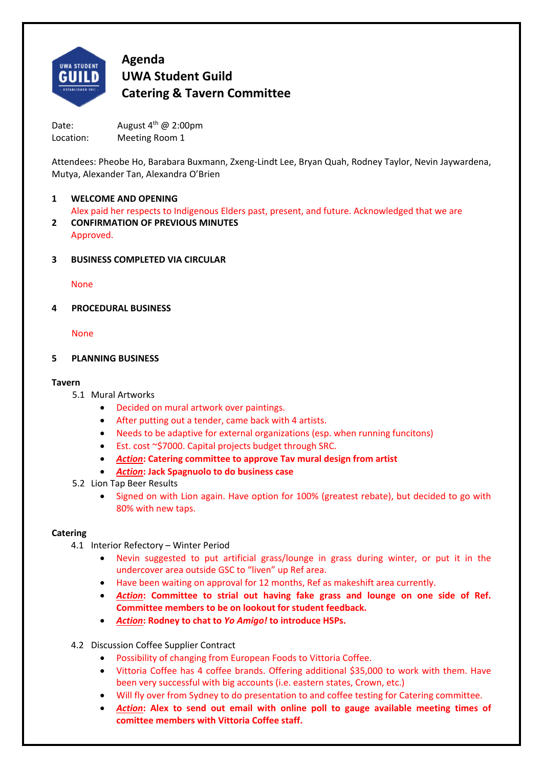

Date: August  $4^{th}$  @ 2:00pm Location: Meeting Room 1

Attendees: Pheobe Ho, Barabara Buxmann, Zxeng‐Lindt Lee, Bryan Quah, Rodney Taylor, Nevin Jaywardena, Mutya, Alexander Tan, Alexandra O'Brien

# **1 WELCOME AND OPENING**

Alex paid her respects to Indigenous Elders past, present, and future. Acknowledged that we are

- **2 CONFIRMATION OF PREVIOUS MINUTES**  Approved.
- **3 BUSINESS COMPLETED VIA CIRCULAR**

None

**4 PROCEDURAL BUSINESS** 

None

## **5 PLANNING BUSINESS**

## **Tavern**

- 5.1 Mural Artworks
	- Decided on mural artwork over paintings.
	- After putting out a tender, came back with 4 artists.
	- Needs to be adaptive for external organizations (esp. when running funcitons)
	- Est. cost ~\$7000. Capital projects budget through SRC.
	- *Action***: Catering committee to approve Tav mural design from artist**
	- *Action***: Jack Spagnuolo to do business case**
- 5.2 Lion Tap Beer Results
	- Signed on with Lion again. Have option for 100% (greatest rebate), but decided to go with 80% with new taps.

# **Catering**

- 4.1 Interior Refectory Winter Period
	- Nevin suggested to put artificial grass/lounge in grass during winter, or put it in the undercover area outside GSC to "liven" up Ref area.
	- Have been waiting on approval for 12 months, Ref as makeshift area currently.
	- *Action***: Committee to strial out having fake grass and lounge on one side of Ref. Committee members to be on lookout for student feedback.**
	- *Action***: Rodney to chat to** *Yo Amigo!* **to introduce HSPs.**
- 4.2 Discussion Coffee Supplier Contract
	- Possibility of changing from European Foods to Vittoria Coffee.
	- Vittoria Coffee has 4 coffee brands. Offering additional \$35,000 to work with them. Have been very successful with big accounts (i.e. eastern states, Crown, etc.)
	- Will fly over from Sydney to do presentation to and coffee testing for Catering committee.
	- *Action***: Alex to send out email with online poll to gauge available meeting times of comittee members with Vittoria Coffee staff.**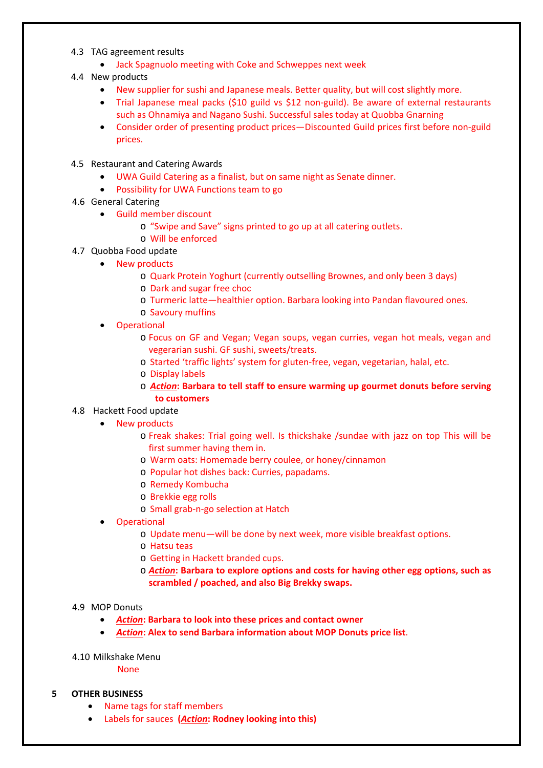- 4.3 TAG agreement results
	- Jack Spagnuolo meeting with Coke and Schweppes next week
- 4.4 New products
	- New supplier for sushi and Japanese meals. Better quality, but will cost slightly more.
	- Trial Japanese meal packs (\$10 guild vs \$12 non-guild). Be aware of external restaurants such as Ohnamiya and Nagano Sushi. Successful sales today at Quobba Gnarning
	- Consider order of presenting product prices—Discounted Guild prices first before non‐guild prices.
- 4.5 Restaurant and Catering Awards
	- UWA Guild Catering as a finalist, but on same night as Senate dinner.
	- Possibility for UWA Functions team to go
- 4.6 General Catering
	- Guild member discount
		- o "Swipe and Save" signs printed to go up at all catering outlets.
		- o Will be enforced
- 4.7 Quobba Food update
	- New products
		- o Quark Protein Yoghurt (currently outselling Brownes, and only been 3 days)
		- o Dark and sugar free choc
		- o Turmeric latte—healthier option. Barbara looking into Pandan flavoured ones.
		- o Savoury muffins
	- **Operational** 
		- o Focus on GF and Vegan; Vegan soups, vegan curries, vegan hot meals, vegan and vegerarian sushi. GF sushi, sweets/treats.
		- o Started 'traffic lights' system for gluten‐free, vegan, vegetarian, halal, etc.
		- o Display labels
		- o *Action***: Barbara to tell staff to ensure warming up gourmet donuts before serving to customers**

#### 4.8 Hackett Food update

- New products
	- o Freak shakes: Trial going well. Is thickshake /sundae with jazz on top This will be first summer having them in.
	- o Warm oats: Homemade berry coulee, or honey/cinnamon
	- o Popular hot dishes back: Curries, papadams.
	- o Remedy Kombucha
	- o Brekkie egg rolls
	- o Small grab‐n‐go selection at Hatch
- **Operational** 
	- o Update menu—will be done by next week, more visible breakfast options.
	- o Hatsu teas
	- o Getting in Hackett branded cups.
	- o *Action***: Barbara to explore options and costs for having other egg options, such as scrambled / poached, and also Big Brekky swaps.**

#### 4.9 MOP Donuts

- *Action***: Barbara to look into these prices and contact owner**
- *Action***: Alex to send Barbara information about MOP Donuts price list**.
- 4.10 Milkshake Menu

None

#### **5 OTHER BUSINESS**

- Name tags for staff members
- Labels for sauces  **(***Action***: Rodney looking into this)**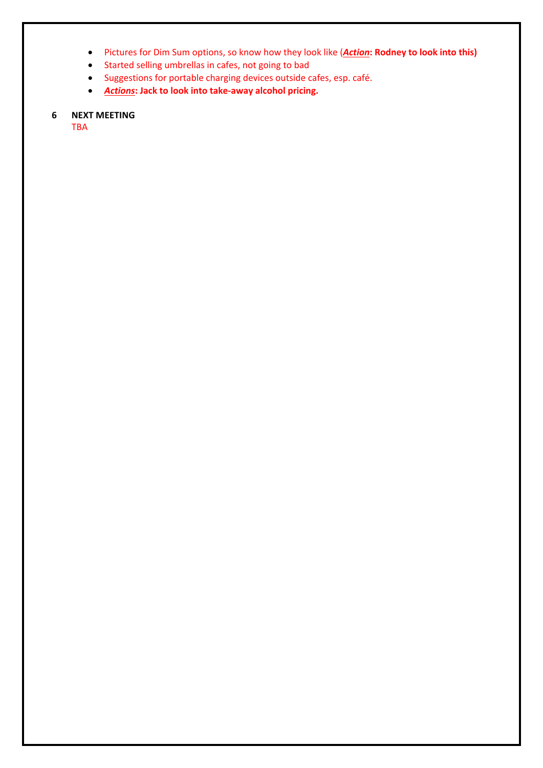- Pictures for Dim Sum options, so know how they look like (*Action***: Rodney to look into this)**
- Started selling umbrellas in cafes, not going to bad
- Suggestions for portable charging devices outside cafes, esp. café.
- *Actions***: Jack to look into take‐away alcohol pricing.**

# **6 NEXT MEETING**

TBA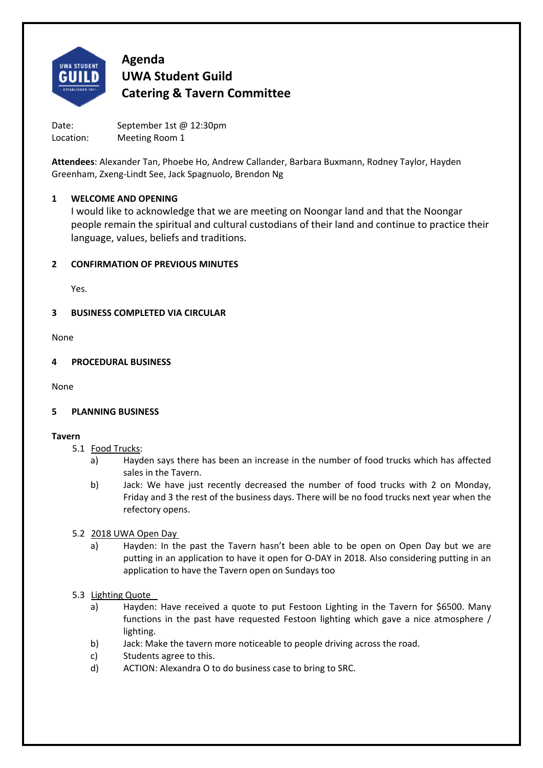

Date: September 1st @ 12:30pm Location: Meeting Room 1

**Attendees**: Alexander Tan, Phoebe Ho, Andrew Callander, Barbara Buxmann, Rodney Taylor, Hayden Greenham, Zxeng‐Lindt See, Jack Spagnuolo, Brendon Ng

# **1 WELCOME AND OPENING**

I would like to acknowledge that we are meeting on Noongar land and that the Noongar people remain the spiritual and cultural custodians of their land and continue to practice their language, values, beliefs and traditions.

# **2 CONFIRMATION OF PREVIOUS MINUTES**

Yes.

# **3 BUSINESS COMPLETED VIA CIRCULAR**

None

# **4 PROCEDURAL BUSINESS**

None

# **5 PLANNING BUSINESS**

# **Tavern**

- 5.1 Food Trucks:
	- a) Hayden says there has been an increase in the number of food trucks which has affected sales in the Tavern.
	- b) Jack: We have just recently decreased the number of food trucks with 2 on Monday, Friday and 3 the rest of the business days. There will be no food trucks next year when the refectory opens.

# 5.2 2018 UWA Open Day

a) Hayden: In the past the Tavern hasn't been able to be open on Open Day but we are putting in an application to have it open for O‐DAY in 2018. Also considering putting in an application to have the Tavern open on Sundays too

# 5.3 Lighting Quote

- a) Hayden: Have received a quote to put Festoon Lighting in the Tavern for \$6500. Many functions in the past have requested Festoon lighting which gave a nice atmosphere / lighting.
- b) Jack: Make the tavern more noticeable to people driving across the road.
- c) Students agree to this.
- d) ACTION: Alexandra O to do business case to bring to SRC.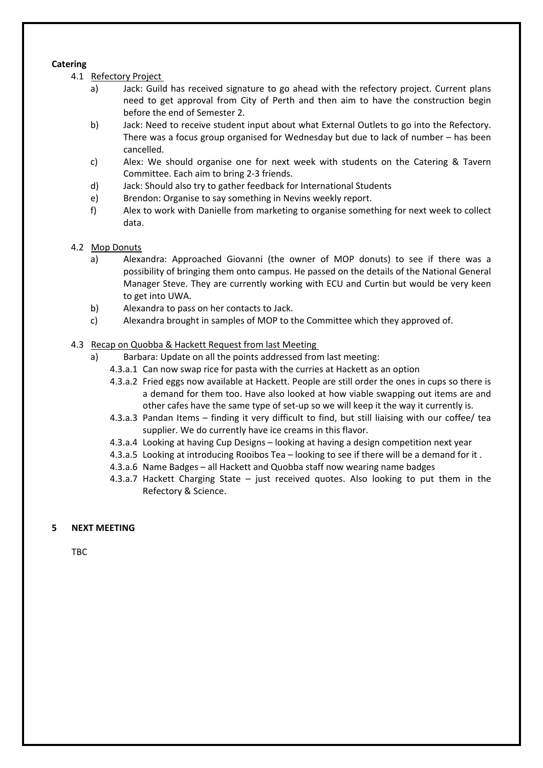#### **Catering**

- 4.1 Refectory Project
	- a) Jack: Guild has received signature to go ahead with the refectory project. Current plans need to get approval from City of Perth and then aim to have the construction begin before the end of Semester 2.
	- b) Jack: Need to receive student input about what External Outlets to go into the Refectory. There was a focus group organised for Wednesday but due to lack of number – has been cancelled.
	- c) Alex: We should organise one for next week with students on the Catering & Tavern Committee. Each aim to bring 2‐3 friends.
	- d) Jack: Should also try to gather feedback for International Students
	- e) Brendon: Organise to say something in Nevins weekly report.
	- f) Alex to work with Danielle from marketing to organise something for next week to collect data.
- 4.2 Mop Donuts
	- a) Alexandra: Approached Giovanni (the owner of MOP donuts) to see if there was a possibility of bringing them onto campus. He passed on the details of the National General Manager Steve. They are currently working with ECU and Curtin but would be very keen to get into UWA.
	- b) Alexandra to pass on her contacts to Jack.
	- c) Alexandra brought in samples of MOP to the Committee which they approved of.

## 4.3 Recap on Quobba & Hackett Request from last Meeting

- a) Barbara: Update on all the points addressed from last meeting:
	- 4.3.a.1 Can now swap rice for pasta with the curries at Hackett as an option
	- 4.3.a.2 Fried eggs now available at Hackett. People are still order the ones in cups so there is a demand for them too. Have also looked at how viable swapping out items are and other cafes have the same type of set-up so we will keep it the way it currently is.
	- 4.3.a.3 Pandan Items finding it very difficult to find, but still liaising with our coffee/ tea supplier. We do currently have ice creams in this flavor.
	- 4.3.a.4 Looking at having Cup Designs looking at having a design competition next year
	- 4.3.a.5 Looking at introducing Rooibos Tea looking to see if there will be a demand for it .
	- 4.3.a.6 Name Badges all Hackett and Quobba staff now wearing name badges
	- 4.3.a.7 Hackett Charging State just received quotes. Also looking to put them in the Refectory & Science.

#### **5 NEXT MEETING**

TBC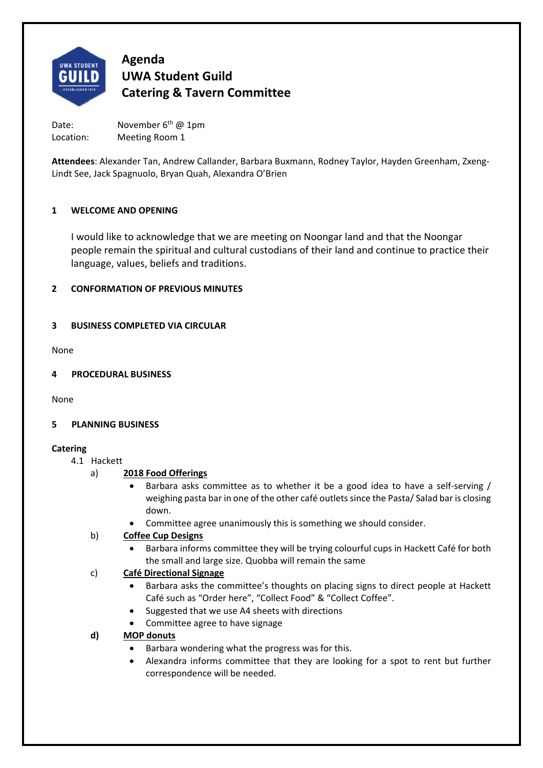

Date: November 6<sup>th</sup> @ 1pm Location: Meeting Room 1

**Attendees**: Alexander Tan, Andrew Callander, Barbara Buxmann, Rodney Taylor, Hayden Greenham, Zxeng‐ Lindt See, Jack Spagnuolo, Bryan Quah, Alexandra O'Brien

# **1 WELCOME AND OPENING**

I would like to acknowledge that we are meeting on Noongar land and that the Noongar people remain the spiritual and cultural custodians of their land and continue to practice their language, values, beliefs and traditions.

# **2 CONFORMATION OF PREVIOUS MINUTES**

# **3 BUSINESS COMPLETED VIA CIRCULAR**

None

# **4 PROCEDURAL BUSINESS**

None

# **5 PLANNING BUSINESS**

# **Catering**

#### 4.1 Hackett

- a) **2018 Food Offerings** 
	- Barbara asks committee as to whether it be a good idea to have a self-serving / weighing pasta bar in one of the other café outlets since the Pasta/ Salad bar is closing down.
	- Committee agree unanimously this is something we should consider.

# b) **Coffee Cup Designs**

 Barbara informs committee they will be trying colourful cups in Hackett Café for both the small and large size. Quobba will remain the same

# c) **Café Directional Signage**

- Barbara asks the committee's thoughts on placing signs to direct people at Hackett Café such as "Order here", "Collect Food" & "Collect Coffee".
- Suggested that we use A4 sheets with directions
- Committee agree to have signage

# **d) MOP donuts**

- Barbara wondering what the progress was for this.
- Alexandra informs committee that they are looking for a spot to rent but further correspondence will be needed.